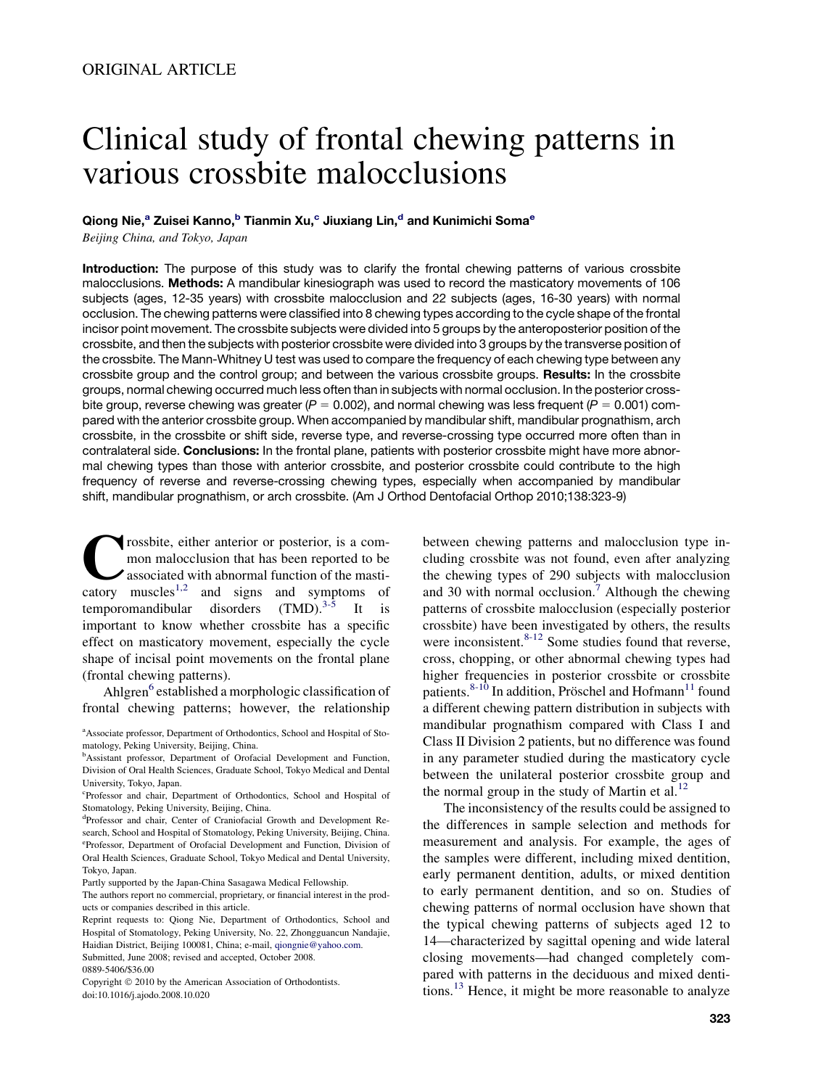# Clinical study of frontal chewing patterns in various crossbite malocclusions

## Qiong Nie,<sup>a</sup> Zuisei Kanno,<sup>b</sup> Tianmin Xu,<sup>c</sup> Jiuxiang Lin,<sup>d</sup> and Kunimichi Soma<sup>e</sup>

Beijing China, and Tokyo, Japan

Introduction: The purpose of this study was to clarify the frontal chewing patterns of various crossbite malocclusions. Methods: A mandibular kinesiograph was used to record the masticatory movements of 106 subjects (ages, 12-35 years) with crossbite malocclusion and 22 subjects (ages, 16-30 years) with normal occlusion. The chewing patterns were classified into 8 chewing types according to the cycle shape of the frontal incisor point movement. The crossbite subjects were divided into 5 groups by the anteroposterior position of the crossbite, and then the subjects with posterior crossbite were divided into 3 groups by the transverse position of the crossbite. The Mann-Whitney U test was used to compare the frequency of each chewing type between any crossbite group and the control group; and between the various crossbite groups. Results: In the crossbite groups, normal chewing occurred much less often than in subjects with normal occlusion. In the posterior crossbite group, reverse chewing was greater  $(P = 0.002)$ , and normal chewing was less frequent  $(P = 0.001)$  compared with the anterior crossbite group. When accompanied by mandibular shift, mandibular prognathism, arch crossbite, in the crossbite or shift side, reverse type, and reverse-crossing type occurred more often than in contralateral side. Conclusions: In the frontal plane, patients with posterior crossbite might have more abnormal chewing types than those with anterior crossbite, and posterior crossbite could contribute to the high frequency of reverse and reverse-crossing chewing types, especially when accompanied by mandibular shift, mandibular prognathism, or arch crossbite. (Am J Orthod Dentofacial Orthop 2010;138:323-9)

**Crossbite, either anterior or posterior, is a com-**<br>mon malocclusion that has been reported to be<br>associated with abnormal function of the masti-<br>catory muscles<sup>[1,2](#page-6-0)</sup> and signs and symptoms of mon malocclusion that has been reported to be associated with abnormal function of the mastitemporomandibular disorders  $(TMD).$ <sup>[3-5](#page-6-0)</sup> It is important to know whether crossbite has a specific effect on masticatory movement, especially the cycle shape of incisal point movements on the frontal plane (frontal chewing patterns).

Ahlgren<sup>[6](#page-6-0)</sup> established a morphologic classification of frontal chewing patterns; however, the relationship

between chewing patterns and malocclusion type including crossbite was not found, even after analyzing the chewing types of 290 subjects with malocclusion and 30 with normal occlusion.<sup>[7](#page-6-0)</sup> Although the chewing patterns of crossbite malocclusion (especially posterior crossbite) have been investigated by others, the results were inconsistent. $8-12$  Some studies found that reverse, cross, chopping, or other abnormal chewing types had higher frequencies in posterior crossbite or crossbite patients.<sup>[8-10](#page-6-0)</sup> In addition, Pröschel and Hofmann<sup>[11](#page-6-0)</sup> found a different chewing pattern distribution in subjects with mandibular prognathism compared with Class I and Class II Division 2 patients, but no difference was found in any parameter studied during the masticatory cycle between the unilateral posterior crossbite group and the normal group in the study of Martin et al. $^{12}$  $^{12}$  $^{12}$ 

The inconsistency of the results could be assigned to the differences in sample selection and methods for measurement and analysis. For example, the ages of the samples were different, including mixed dentition, early permanent dentition, adults, or mixed dentition to early permanent dentition, and so on. Studies of chewing patterns of normal occlusion have shown that the typical chewing patterns of subjects aged 12 to 14—characterized by sagittal opening and wide lateral closing movements—had changed completely compared with patterns in the deciduous and mixed denti-tions.<sup>[13](#page-6-0)</sup> Hence, it might be more reasonable to analyze

<sup>&</sup>lt;sup>a</sup> Associate professor, Department of Orthodontics, School and Hospital of Stomatology, Peking University, Beijing, China.

<sup>&</sup>lt;sup>b</sup>Assistant professor, Department of Orofacial Development and Function, Division of Oral Health Sciences, Graduate School, Tokyo Medical and Dental University, Tokyo, Japan.

c Professor and chair, Department of Orthodontics, School and Hospital of Stomatology, Peking University, Beijing, China.

d Professor and chair, Center of Craniofacial Growth and Development Research, School and Hospital of Stomatology, Peking University, Beijing, China. e Professor, Department of Orofacial Development and Function, Division of Oral Health Sciences, Graduate School, Tokyo Medical and Dental University, Tokyo, Japan.

Partly supported by the Japan-China Sasagawa Medical Fellowship.

The authors report no commercial, proprietary, or financial interest in the products or companies described in this article.

Reprint requests to: Qiong Nie, Department of Orthodontics, School and Hospital of Stomatology, Peking University, No. 22, Zhongguancun Nandajie, Haidian District, Beijing 100081, China; e-mail, [qiongnie@yahoo.com.](mailto:qiongnie@yahoo.com) Submitted, June 2008; revised and accepted, October 2008.

<sup>0889-5406/\$36.00</sup>

Copyright © 2010 by the American Association of Orthodontists. doi:10.1016/j.ajodo.2008.10.020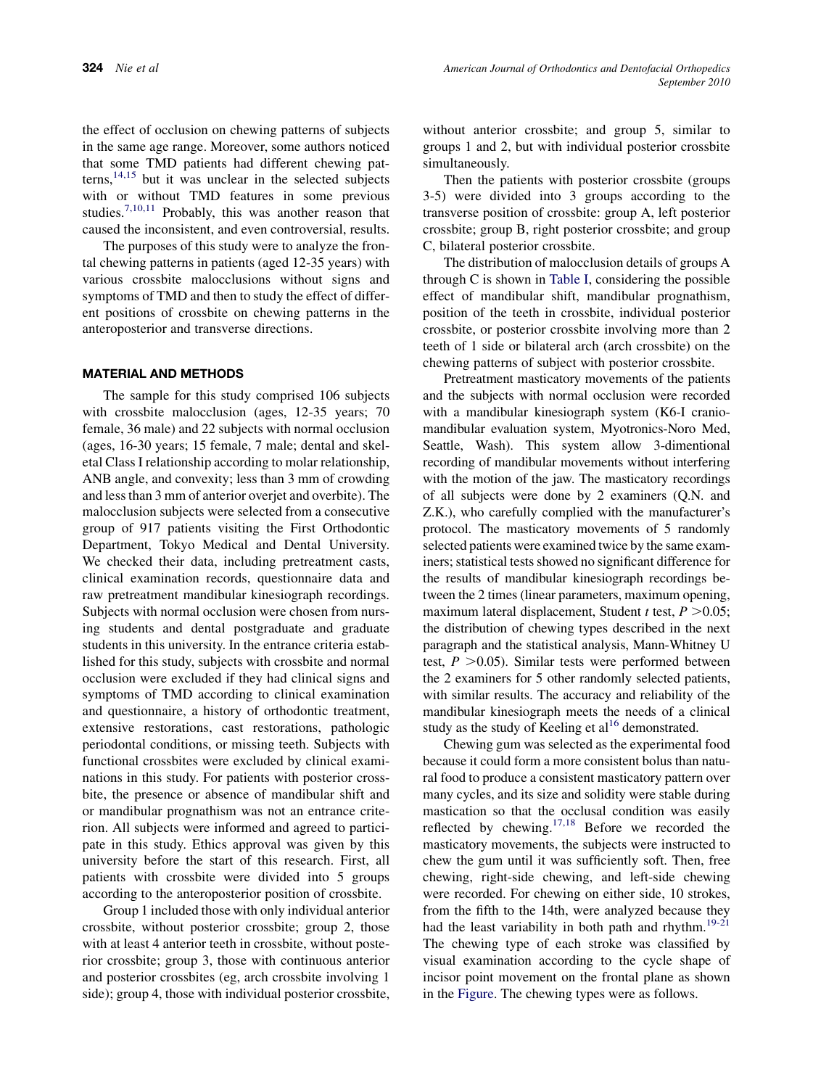the effect of occlusion on chewing patterns of subjects in the same age range. Moreover, some authors noticed that some TMD patients had different chewing pat $terns$ ,<sup>[14,15](#page-6-0)</sup> but it was unclear in the selected subjects with or without TMD features in some previous studies.7,10,11 Probably, this was another reason that caused the inconsistent, and even controversial, results.

The purposes of this study were to analyze the frontal chewing patterns in patients (aged 12-35 years) with various crossbite malocclusions without signs and symptoms of TMD and then to study the effect of different positions of crossbite on chewing patterns in the anteroposterior and transverse directions.

## MATERIAL AND METHODS

The sample for this study comprised 106 subjects with crossbite malocclusion (ages, 12-35 years; 70 female, 36 male) and 22 subjects with normal occlusion (ages, 16-30 years; 15 female, 7 male; dental and skeletal Class I relationship according to molar relationship, ANB angle, and convexity; less than 3 mm of crowding and less than 3 mm of anterior overjet and overbite). The malocclusion subjects were selected from a consecutive group of 917 patients visiting the First Orthodontic Department, Tokyo Medical and Dental University. We checked their data, including pretreatment casts, clinical examination records, questionnaire data and raw pretreatment mandibular kinesiograph recordings. Subjects with normal occlusion were chosen from nursing students and dental postgraduate and graduate students in this university. In the entrance criteria established for this study, subjects with crossbite and normal occlusion were excluded if they had clinical signs and symptoms of TMD according to clinical examination and questionnaire, a history of orthodontic treatment, extensive restorations, cast restorations, pathologic periodontal conditions, or missing teeth. Subjects with functional crossbites were excluded by clinical examinations in this study. For patients with posterior crossbite, the presence or absence of mandibular shift and or mandibular prognathism was not an entrance criterion. All subjects were informed and agreed to participate in this study. Ethics approval was given by this university before the start of this research. First, all patients with crossbite were divided into 5 groups according to the anteroposterior position of crossbite.

Group 1 included those with only individual anterior crossbite, without posterior crossbite; group 2, those with at least 4 anterior teeth in crossbite, without posterior crossbite; group 3, those with continuous anterior and posterior crossbites (eg, arch crossbite involving 1 side); group 4, those with individual posterior crossbite, without anterior crossbite; and group 5, similar to groups 1 and 2, but with individual posterior crossbite simultaneously.

Then the patients with posterior crossbite (groups 3-5) were divided into 3 groups according to the transverse position of crossbite: group A, left posterior crossbite; group B, right posterior crossbite; and group C, bilateral posterior crossbite.

The distribution of malocclusion details of groups A through C is shown in [Table I,](#page-2-0) considering the possible effect of mandibular shift, mandibular prognathism, position of the teeth in crossbite, individual posterior crossbite, or posterior crossbite involving more than 2 teeth of 1 side or bilateral arch (arch crossbite) on the chewing patterns of subject with posterior crossbite.

Pretreatment masticatory movements of the patients and the subjects with normal occlusion were recorded with a mandibular kinesiograph system (K6-I craniomandibular evaluation system, Myotronics-Noro Med, Seattle, Wash). This system allow 3-dimentional recording of mandibular movements without interfering with the motion of the jaw. The masticatory recordings of all subjects were done by 2 examiners (Q.N. and Z.K.), who carefully complied with the manufacturer's protocol. The masticatory movements of 5 randomly selected patients were examined twice by the same examiners; statistical tests showed no significant difference for the results of mandibular kinesiograph recordings between the 2 times (linear parameters, maximum opening, maximum lateral displacement, Student t test,  $P > 0.05$ ; the distribution of chewing types described in the next paragraph and the statistical analysis, Mann-Whitney U test,  $P > 0.05$ ). Similar tests were performed between the 2 examiners for 5 other randomly selected patients, with similar results. The accuracy and reliability of the mandibular kinesiograph meets the needs of a clinical study as the study of Keeling et  $al<sup>16</sup>$  demonstrated.

Chewing gum was selected as the experimental food because it could form a more consistent bolus than natural food to produce a consistent masticatory pattern over many cycles, and its size and solidity were stable during mastication so that the occlusal condition was easily reflected by chewing.[17,18](#page-6-0) Before we recorded the masticatory movements, the subjects were instructed to chew the gum until it was sufficiently soft. Then, free chewing, right-side chewing, and left-side chewing were recorded. For chewing on either side, 10 strokes, from the fifth to the 14th, were analyzed because they had the least variability in both path and rhythm.<sup>19-21</sup> The chewing type of each stroke was classified by visual examination according to the cycle shape of incisor point movement on the frontal plane as shown in the [Figure](#page-3-0). The chewing types were as follows.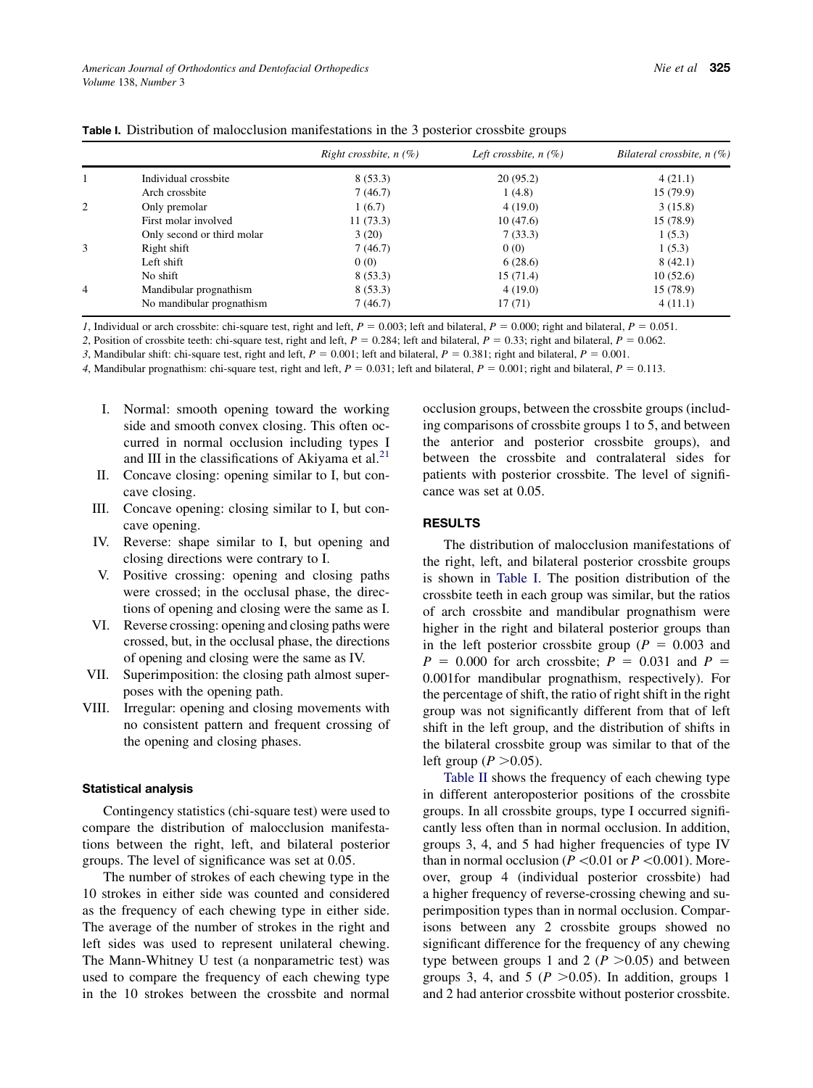|                |                            | Right crossbite, $n(\%)$ | Left crossbite, $n(\%)$ | Bilateral crossbite, $n(\%)$ |
|----------------|----------------------------|--------------------------|-------------------------|------------------------------|
| 1              | Individual crossbite       | 8(53.3)                  | 20(95.2)                | 4(21.1)                      |
|                | Arch crossbite             | 7(46.7)                  | 1(4.8)                  | 15(79.9)                     |
| 2              | Only premolar              | 1(6.7)                   | 4(19.0)                 | 3(15.8)                      |
|                | First molar involved       | 11(73.3)                 | 10(47.6)                | 15 (78.9)                    |
|                | Only second or third molar | 3(20)                    | 7(33.3)                 | 1(5.3)                       |
| 3              | Right shift                | 7(46.7)                  | 0(0)                    | 1(5.3)                       |
|                | Left shift                 | 0(0)                     | 6(28.6)                 | 8(42.1)                      |
|                | No shift                   | 8(53.3)                  | 15(71.4)                | 10(52.6)                     |
| $\overline{4}$ | Mandibular prognathism     | 8(53.3)                  | 4(19.0)                 | 15(78.9)                     |
|                | No mandibular prognathism  | 7(46.7)                  | 17(71)                  | 4(11.1)                      |

<span id="page-2-0"></span>Table I. Distribution of malocclusion manifestations in the 3 posterior crossbite groups

1, Individual or arch crossbite: chi-square test, right and left,  $P = 0.003$ ; left and bilateral,  $P = 0.000$ ; right and bilateral,  $P = 0.051$ .

2, Position of crossbite teeth: chi-square test, right and left,  $P = 0.284$ ; left and bilateral,  $P = 0.33$ ; right and bilateral,  $P = 0.062$ .

3, Mandibular shift: chi-square test, right and left,  $P = 0.001$ ; left and bilateral,  $P = 0.381$ ; right and bilateral,  $P = 0.001$ .

4, Mandibular prognathism: chi-square test, right and left,  $P = 0.031$ ; left and bilateral,  $P = 0.001$ ; right and bilateral,  $P = 0.113$ .

- I. Normal: smooth opening toward the working side and smooth convex closing. This often occurred in normal occlusion including types I and III in the classifications of Akiyama et al. $^{21}$
- II. Concave closing: opening similar to I, but concave closing.
- III. Concave opening: closing similar to I, but concave opening.
- IV. Reverse: shape similar to I, but opening and closing directions were contrary to I.
- V. Positive crossing: opening and closing paths were crossed; in the occlusal phase, the directions of opening and closing were the same as I.
- VI. Reverse crossing: opening and closing paths were crossed, but, in the occlusal phase, the directions of opening and closing were the same as IV.
- VII. Superimposition: the closing path almost superposes with the opening path.
- VIII. Irregular: opening and closing movements with no consistent pattern and frequent crossing of the opening and closing phases.

#### Statistical analysis

Contingency statistics (chi-square test) were used to compare the distribution of malocclusion manifestations between the right, left, and bilateral posterior groups. The level of significance was set at 0.05.

The number of strokes of each chewing type in the 10 strokes in either side was counted and considered as the frequency of each chewing type in either side. The average of the number of strokes in the right and left sides was used to represent unilateral chewing. The Mann-Whitney U test (a nonparametric test) was used to compare the frequency of each chewing type in the 10 strokes between the crossbite and normal occlusion groups, between the crossbite groups (including comparisons of crossbite groups 1 to 5, and between the anterior and posterior crossbite groups), and between the crossbite and contralateral sides for patients with posterior crossbite. The level of significance was set at 0.05.

## **RESULTS**

The distribution of malocclusion manifestations of the right, left, and bilateral posterior crossbite groups is shown in Table I. The position distribution of the crossbite teeth in each group was similar, but the ratios of arch crossbite and mandibular prognathism were higher in the right and bilateral posterior groups than in the left posterior crossbite group ( $P = 0.003$  and  $P = 0.000$  for arch crossbite;  $P = 0.031$  and  $P =$ 0.001for mandibular prognathism, respectively). For the percentage of shift, the ratio of right shift in the right group was not significantly different from that of left shift in the left group, and the distribution of shifts in the bilateral crossbite group was similar to that of the left group ( $P > 0.05$ ).

[Table II](#page-4-0) shows the frequency of each chewing type in different anteroposterior positions of the crossbite groups. In all crossbite groups, type I occurred significantly less often than in normal occlusion. In addition, groups 3, 4, and 5 had higher frequencies of type IV than in normal occlusion ( $P \le 0.01$  or  $P \le 0.001$ ). Moreover, group 4 (individual posterior crossbite) had a higher frequency of reverse-crossing chewing and superimposition types than in normal occlusion. Comparisons between any 2 crossbite groups showed no significant difference for the frequency of any chewing type between groups 1 and 2 ( $P > 0.05$ ) and between groups 3, 4, and 5 ( $P > 0.05$ ). In addition, groups 1 and 2 had anterior crossbite without posterior crossbite.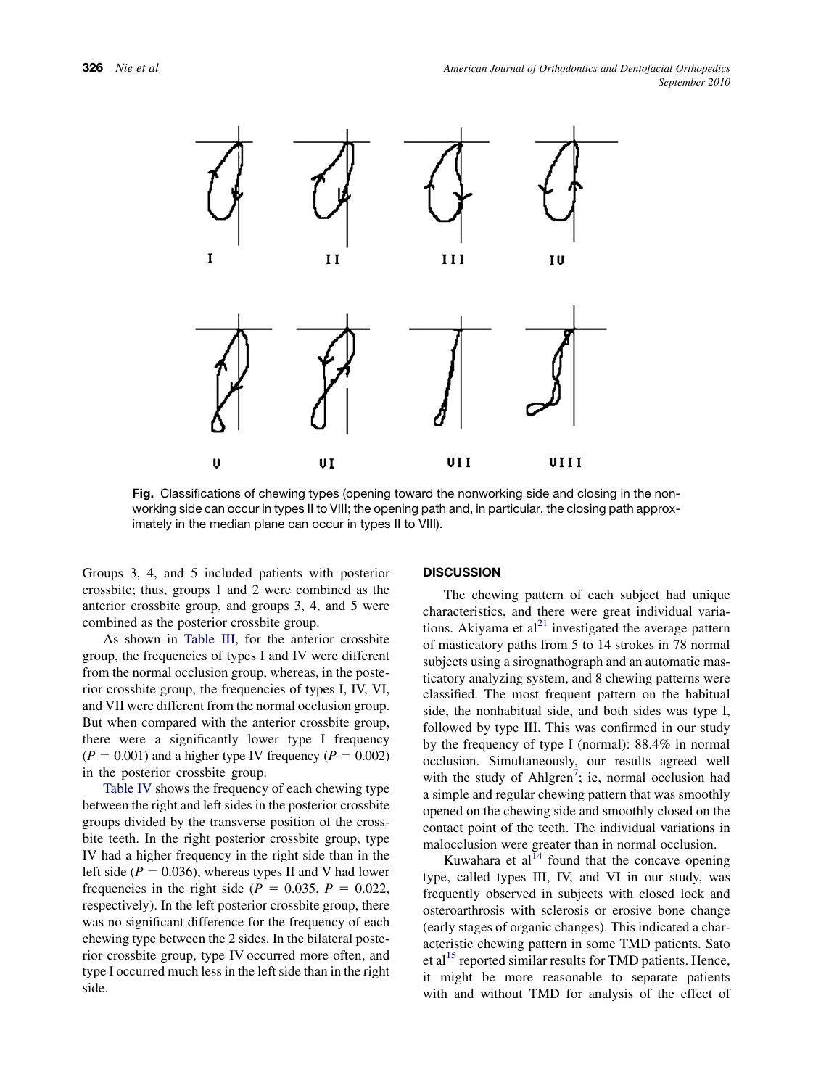<span id="page-3-0"></span>

Fig. Classifications of chewing types (opening toward the nonworking side and closing in the nonworking side can occur in types II to VIII; the opening path and, in particular, the closing path approximately in the median plane can occur in types II to VIII).

Groups 3, 4, and 5 included patients with posterior crossbite; thus, groups 1 and 2 were combined as the anterior crossbite group, and groups 3, 4, and 5 were combined as the posterior crossbite group.

As shown in [Table III](#page-4-0), for the anterior crossbite group, the frequencies of types I and IV were different from the normal occlusion group, whereas, in the posterior crossbite group, the frequencies of types I, IV, VI, and VII were different from the normal occlusion group. But when compared with the anterior crossbite group, there were a significantly lower type I frequency  $(P = 0.001)$  and a higher type IV frequency  $(P = 0.002)$ in the posterior crossbite group.

[Table IV](#page-5-0) shows the frequency of each chewing type between the right and left sides in the posterior crossbite groups divided by the transverse position of the crossbite teeth. In the right posterior crossbite group, type IV had a higher frequency in the right side than in the left side ( $P = 0.036$ ), whereas types II and V had lower frequencies in the right side ( $P = 0.035$ ,  $P = 0.022$ , respectively). In the left posterior crossbite group, there was no significant difference for the frequency of each chewing type between the 2 sides. In the bilateral posterior crossbite group, type IV occurred more often, and type I occurred much less in the left side than in the right side.

### **DISCUSSION**

The chewing pattern of each subject had unique characteristics, and there were great individual variations. Akiyama et  $al^{21}$  $al^{21}$  $al^{21}$  investigated the average pattern of masticatory paths from 5 to 14 strokes in 78 normal subjects using a sirognathograph and an automatic masticatory analyzing system, and 8 chewing patterns were classified. The most frequent pattern on the habitual side, the nonhabitual side, and both sides was type I, followed by type III. This was confirmed in our study by the frequency of type I (normal): 88.4% in normal occlusion. Simultaneously, our results agreed well with the study of Ahlgren<sup>[7](#page-6-0)</sup>; ie, normal occlusion had a simple and regular chewing pattern that was smoothly opened on the chewing side and smoothly closed on the contact point of the teeth. The individual variations in malocclusion were greater than in normal occlusion.

Kuwahara et al $14$  found that the concave opening type, called types III, IV, and VI in our study, was frequently observed in subjects with closed lock and osteroarthrosis with sclerosis or erosive bone change (early stages of organic changes). This indicated a characteristic chewing pattern in some TMD patients. Sato et al<sup>[15](#page-6-0)</sup> reported similar results for TMD patients. Hence, it might be more reasonable to separate patients with and without TMD for analysis of the effect of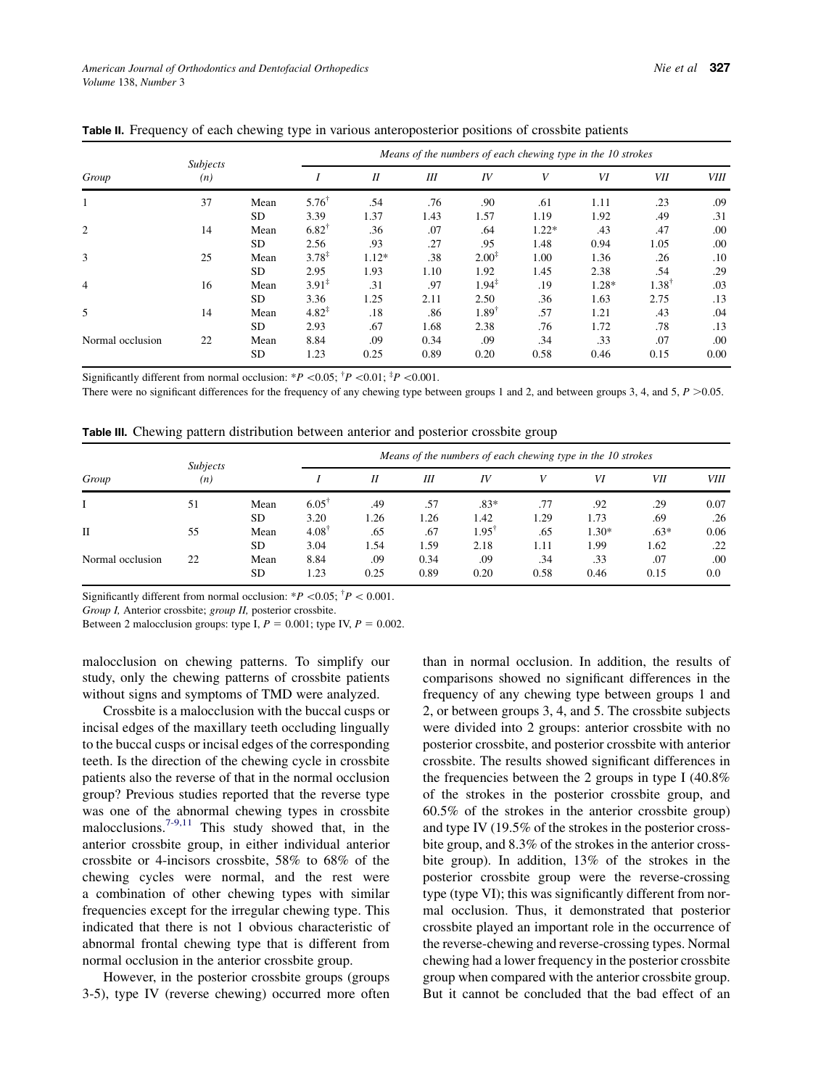|                  |                        |           | Means of the numbers of each chewing type in the 10 strokes |         |      |                   |         |         |                  |             |  |
|------------------|------------------------|-----------|-------------------------------------------------------------|---------|------|-------------------|---------|---------|------------------|-------------|--|
| Group            | <b>Subjects</b><br>(n) |           |                                                             | $_{II}$ | Ш    | IV                | V       | VI      | VII              | <i>VIII</i> |  |
| 1                | 37                     | Mean      | $5.76^{\dagger}$                                            | .54     | .76  | .90               | .61     | 1.11    | .23              | .09         |  |
|                  |                        | <b>SD</b> | 3.39                                                        | 1.37    | 1.43 | 1.57              | 1.19    | 1.92    | .49              | .31         |  |
| $\overline{2}$   | 14                     | Mean      | $6.82^{\dagger}$                                            | .36     | .07  | .64               | $1.22*$ | .43     | .47              | .00         |  |
|                  |                        | <b>SD</b> | 2.56                                                        | .93     | .27  | .95               | 1.48    | 0.94    | 1.05             | .00         |  |
| 3                | 25                     | Mean      | $3.78^{\ddagger}$                                           | $1.12*$ | .38  | $2.00^{\ddagger}$ | 1.00    | 1.36    | .26              | .10         |  |
|                  |                        | <b>SD</b> | 2.95                                                        | 1.93    | 1.10 | 1.92              | 1.45    | 2.38    | .54              | .29         |  |
| $\overline{4}$   | 16                     | Mean      | $3.91^{\ddagger}$                                           | .31     | .97  | $1.94^{\ddagger}$ | .19     | $1.28*$ | $1.38^{\dagger}$ | .03         |  |
|                  |                        | <b>SD</b> | 3.36                                                        | 1.25    | 2.11 | 2.50              | .36     | 1.63    | 2.75             | .13         |  |
| 5                | 14                     | Mean      | $4.82^{\ddagger}$                                           | .18     | .86  | $1.89^{+}$        | .57     | 1.21    | .43              | .04         |  |
|                  |                        | <b>SD</b> | 2.93                                                        | .67     | 1.68 | 2.38              | .76     | 1.72    | .78              | .13         |  |
| Normal occlusion | 22                     | Mean      | 8.84                                                        | .09     | 0.34 | .09               | .34     | .33     | .07              | .00         |  |
|                  |                        | <b>SD</b> | 1.23                                                        | 0.25    | 0.89 | 0.20              | 0.58    | 0.46    | 0.15             | 0.00        |  |

<span id="page-4-0"></span>Table II. Frequency of each chewing type in various anteroposterior positions of crossbite patients

Significantly different from normal occlusion:  $*P < 0.05$ ;  $\frac{4}{7}P < 0.01$ ;  $\frac{4}{7}P < 0.001$ .

There were no significant differences for the frequency of any chewing type between groups 1 and 2, and between groups 3, 4, and 5,  $P > 0.05$ .

Table III. Chewing pattern distribution between anterior and posterior crossbite group

|                  | <b>Subjects</b> |           | Means of the numbers of each chewing type in the 10 strokes |      |      |                |      |         |        |             |  |  |
|------------------|-----------------|-----------|-------------------------------------------------------------|------|------|----------------|------|---------|--------|-------------|--|--|
| Group            | (n)             |           |                                                             | Н    | Ш    | IV             |      | VI      | VII    | <i>VIII</i> |  |  |
|                  | 51              | Mean      | 6.05                                                        | .49  | .57  | $.83*$         | .77  | .92     | .29    | 0.07        |  |  |
|                  |                 | <b>SD</b> | 3.20                                                        | 1.26 | 1.26 | 1.42           | 1.29 | 1.73    | .69    | .26         |  |  |
| П                | 55              | Mean      | $4.08^{\dagger}$                                            | .65  | .67  | $1.95^{\circ}$ | .65  | $1.30*$ | $.63*$ | 0.06        |  |  |
|                  |                 | <b>SD</b> | 3.04                                                        | 1.54 | 1.59 | 2.18           | 1.11 | 1.99    | 1.62   | .22         |  |  |
| Normal occlusion | 22              | Mean      | 8.84                                                        | .09  | 0.34 | .09            | .34  | .33     | .07    | .00         |  |  |
|                  |                 | <b>SD</b> | 1.23                                                        | 0.25 | 0.89 | 0.20           | 0.58 | 0.46    | 0.15   | 0.0         |  |  |

Significantly different from normal occlusion:  $*P < 0.05$ ;  $\frac{1}{1}P < 0.001$ .

Group I, Anterior crossbite; group II, posterior crossbite.

Between 2 malocclusion groups: type I,  $P = 0.001$ ; type IV,  $P = 0.002$ .

malocclusion on chewing patterns. To simplify our study, only the chewing patterns of crossbite patients without signs and symptoms of TMD were analyzed.

Crossbite is a malocclusion with the buccal cusps or incisal edges of the maxillary teeth occluding lingually to the buccal cusps or incisal edges of the corresponding teeth. Is the direction of the chewing cycle in crossbite patients also the reverse of that in the normal occlusion group? Previous studies reported that the reverse type was one of the abnormal chewing types in crossbite malocclusions.<sup> $7-9,11$ </sup> This study showed that, in the anterior crossbite group, in either individual anterior crossbite or 4-incisors crossbite, 58% to 68% of the chewing cycles were normal, and the rest were a combination of other chewing types with similar frequencies except for the irregular chewing type. This indicated that there is not 1 obvious characteristic of abnormal frontal chewing type that is different from normal occlusion in the anterior crossbite group.

However, in the posterior crossbite groups (groups 3-5), type IV (reverse chewing) occurred more often than in normal occlusion. In addition, the results of comparisons showed no significant differences in the frequency of any chewing type between groups 1 and 2, or between groups 3, 4, and 5. The crossbite subjects were divided into 2 groups: anterior crossbite with no posterior crossbite, and posterior crossbite with anterior crossbite. The results showed significant differences in the frequencies between the 2 groups in type I (40.8% of the strokes in the posterior crossbite group, and 60.5% of the strokes in the anterior crossbite group) and type IV (19.5% of the strokes in the posterior crossbite group, and 8.3% of the strokes in the anterior crossbite group). In addition, 13% of the strokes in the posterior crossbite group were the reverse-crossing type (type VI); this was significantly different from normal occlusion. Thus, it demonstrated that posterior crossbite played an important role in the occurrence of the reverse-chewing and reverse-crossing types. Normal chewing had a lower frequency in the posterior crossbite group when compared with the anterior crossbite group. But it cannot be concluded that the bad effect of an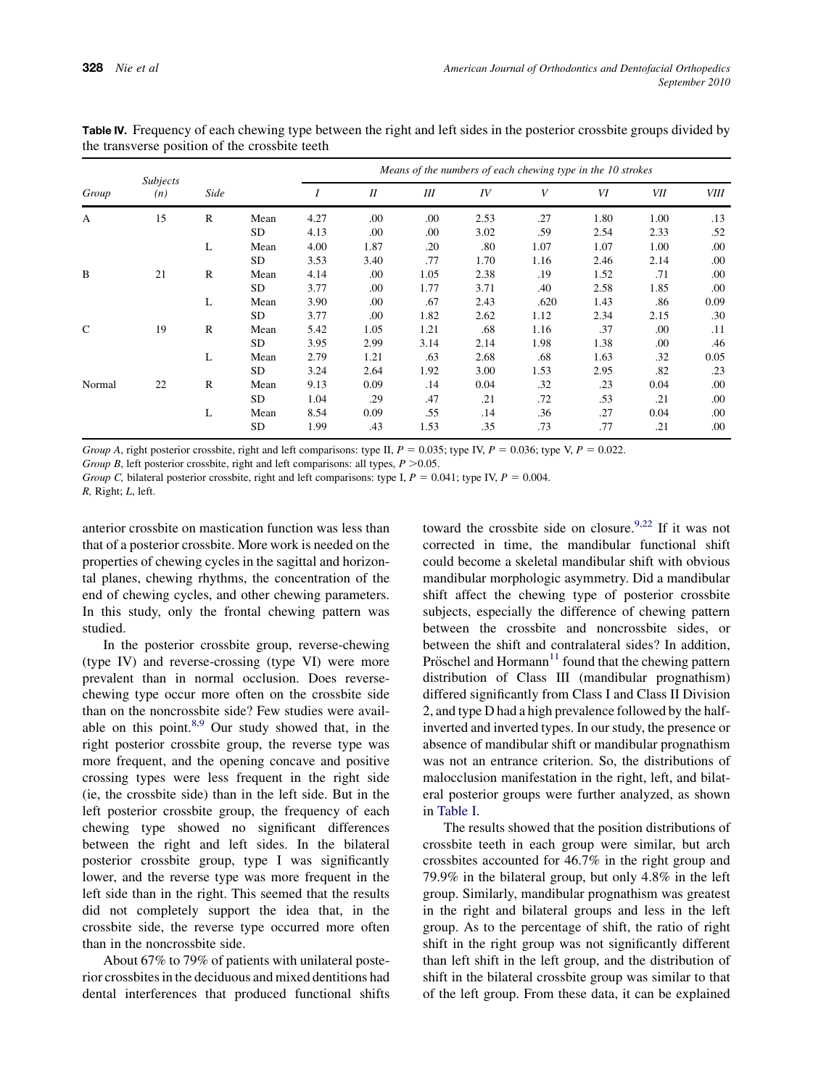| Group         | <b>Subjects</b><br>(n) |              |           | Means of the numbers of each chewing type in the 10 strokes |      |      |      |      |      |      |             |  |
|---------------|------------------------|--------------|-----------|-------------------------------------------------------------|------|------|------|------|------|------|-------------|--|
|               |                        | Side         |           |                                                             | I    | III  | IV   | V    | VI   | VII  | <b>VIII</b> |  |
| A             | 15                     | $\mathbb{R}$ | Mean      | 4.27                                                        | .00  | .00  | 2.53 | .27  | 1.80 | 1.00 | .13         |  |
|               |                        |              | SD        | 4.13                                                        | .00  | .00  | 3.02 | .59  | 2.54 | 2.33 | .52         |  |
|               |                        | L            | Mean      | 4.00                                                        | 1.87 | .20  | .80  | 1.07 | 1.07 | 1.00 | .00.        |  |
|               |                        |              | SD.       | 3.53                                                        | 3.40 | .77  | 1.70 | 1.16 | 2.46 | 2.14 | .00         |  |
| B             | 21                     | $\mathbb{R}$ | Mean      | 4.14                                                        | .00  | 1.05 | 2.38 | .19  | 1.52 | .71  | .00.        |  |
|               |                        |              | <b>SD</b> | 3.77                                                        | .00  | 1.77 | 3.71 | .40  | 2.58 | 1.85 | .00.        |  |
|               |                        | L            | Mean      | 3.90                                                        | .00  | .67  | 2.43 | .620 | 1.43 | .86  | 0.09        |  |
|               |                        |              | SD        | 3.77                                                        | .00  | 1.82 | 2.62 | 1.12 | 2.34 | 2.15 | .30         |  |
| $\mathcal{C}$ | 19                     | $\mathbb{R}$ | Mean      | 5.42                                                        | 1.05 | 1.21 | .68  | 1.16 | .37  | .00  | .11         |  |
|               |                        |              | <b>SD</b> | 3.95                                                        | 2.99 | 3.14 | 2.14 | 1.98 | 1.38 | .00. | .46         |  |
|               |                        | L            | Mean      | 2.79                                                        | 1.21 | .63  | 2.68 | .68  | 1.63 | .32  | 0.05        |  |
|               |                        |              | SD        | 3.24                                                        | 2.64 | 1.92 | 3.00 | 1.53 | 2.95 | .82  | .23         |  |
| Normal        | 22                     | $\mathbb{R}$ | Mean      | 9.13                                                        | 0.09 | .14  | 0.04 | .32  | .23  | 0.04 | .00         |  |
|               |                        |              | SD        | 1.04                                                        | .29  | .47  | .21  | .72  | .53  | .21  | .00.        |  |
|               |                        | L            | Mean      | 8.54                                                        | 0.09 | .55  | .14  | .36  | .27  | 0.04 | .00         |  |
|               |                        |              | <b>SD</b> | 1.99                                                        | .43  | 1.53 | .35  | .73  | .77  | .21  | .00         |  |

<span id="page-5-0"></span>Table IV. Frequency of each chewing type between the right and left sides in the posterior crossbite groups divided by the transverse position of the crossbite teeth

Group A, right posterior crossbite, right and left comparisons: type II,  $P = 0.035$ ; type IV,  $P = 0.036$ ; type V,  $P = 0.022$ .

Group B, left posterior crossbite, right and left comparisons: all types,  $P > 0.05$ .

Group C, bilateral posterior crossbite, right and left comparisons: type I,  $P = 0.041$ ; type IV,  $P = 0.004$ . R, Right; L, left.

anterior crossbite on mastication function was less than that of a posterior crossbite. More work is needed on the properties of chewing cycles in the sagittal and horizontal planes, chewing rhythms, the concentration of the end of chewing cycles, and other chewing parameters. In this study, only the frontal chewing pattern was studied.

In the posterior crossbite group, reverse-chewing (type IV) and reverse-crossing (type VI) were more prevalent than in normal occlusion. Does reversechewing type occur more often on the crossbite side than on the noncrossbite side? Few studies were available on this point. $8,9$  Our study showed that, in the right posterior crossbite group, the reverse type was more frequent, and the opening concave and positive crossing types were less frequent in the right side (ie, the crossbite side) than in the left side. But in the left posterior crossbite group, the frequency of each chewing type showed no significant differences between the right and left sides. In the bilateral posterior crossbite group, type I was significantly lower, and the reverse type was more frequent in the left side than in the right. This seemed that the results did not completely support the idea that, in the crossbite side, the reverse type occurred more often than in the noncrossbite side.

About 67% to 79% of patients with unilateral posterior crossbites in the deciduous and mixed dentitions had dental interferences that produced functional shifts toward the crossbite side on closure.<sup>9,22</sup> If it was not corrected in time, the mandibular functional shift could become a skeletal mandibular shift with obvious mandibular morphologic asymmetry. Did a mandibular shift affect the chewing type of posterior crossbite subjects, especially the difference of chewing pattern between the crossbite and noncrossbite sides, or between the shift and contralateral sides? In addition, Pröschel and Hormann $<sup>11</sup>$  $<sup>11</sup>$  $<sup>11</sup>$  found that the chewing pattern</sup> distribution of Class III (mandibular prognathism) differed significantly from Class I and Class II Division 2, and type D had a high prevalence followed by the halfinverted and inverted types. In our study, the presence or absence of mandibular shift or mandibular prognathism was not an entrance criterion. So, the distributions of malocclusion manifestation in the right, left, and bilateral posterior groups were further analyzed, as shown in [Table I.](#page-2-0)

The results showed that the position distributions of crossbite teeth in each group were similar, but arch crossbites accounted for 46.7% in the right group and 79.9% in the bilateral group, but only 4.8% in the left group. Similarly, mandibular prognathism was greatest in the right and bilateral groups and less in the left group. As to the percentage of shift, the ratio of right shift in the right group was not significantly different than left shift in the left group, and the distribution of shift in the bilateral crossbite group was similar to that of the left group. From these data, it can be explained